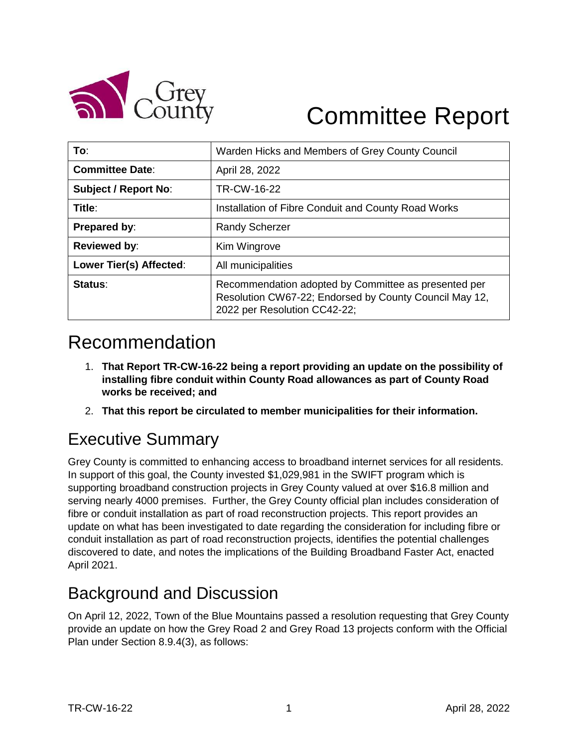

# Committee Report

| To:                         | Warden Hicks and Members of Grey County Council                                                                                                |  |  |
|-----------------------------|------------------------------------------------------------------------------------------------------------------------------------------------|--|--|
| <b>Committee Date:</b>      | April 28, 2022                                                                                                                                 |  |  |
| <b>Subject / Report No:</b> | TR-CW-16-22                                                                                                                                    |  |  |
| Title:                      | Installation of Fibre Conduit and County Road Works                                                                                            |  |  |
| <b>Prepared by:</b>         | <b>Randy Scherzer</b>                                                                                                                          |  |  |
| <b>Reviewed by:</b>         | Kim Wingrove                                                                                                                                   |  |  |
| Lower Tier(s) Affected:     | All municipalities                                                                                                                             |  |  |
| Status:                     | Recommendation adopted by Committee as presented per<br>Resolution CW67-22; Endorsed by County Council May 12,<br>2022 per Resolution CC42-22; |  |  |

# Recommendation

- 1. **That Report TR-CW-16-22 being a report providing an update on the possibility of installing fibre conduit within County Road allowances as part of County Road works be received; and**
- 2. **That this report be circulated to member municipalities for their information.**

# Executive Summary

Grey County is committed to enhancing access to broadband internet services for all residents. In support of this goal, the County invested \$1,029,981 in the SWIFT program which is supporting broadband construction projects in Grey County valued at over \$16.8 million and serving nearly 4000 premises. Further, the Grey County official plan includes consideration of fibre or conduit installation as part of road reconstruction projects. This report provides an update on what has been investigated to date regarding the consideration for including fibre or conduit installation as part of road reconstruction projects, identifies the potential challenges discovered to date, and notes the implications of the Building Broadband Faster Act, enacted April 2021.

### Background and Discussion

On April 12, 2022, Town of the Blue Mountains passed a resolution requesting that Grey County provide an update on how the Grey Road 2 and Grey Road 13 projects conform with the Official Plan under Section 8.9.4(3), as follows: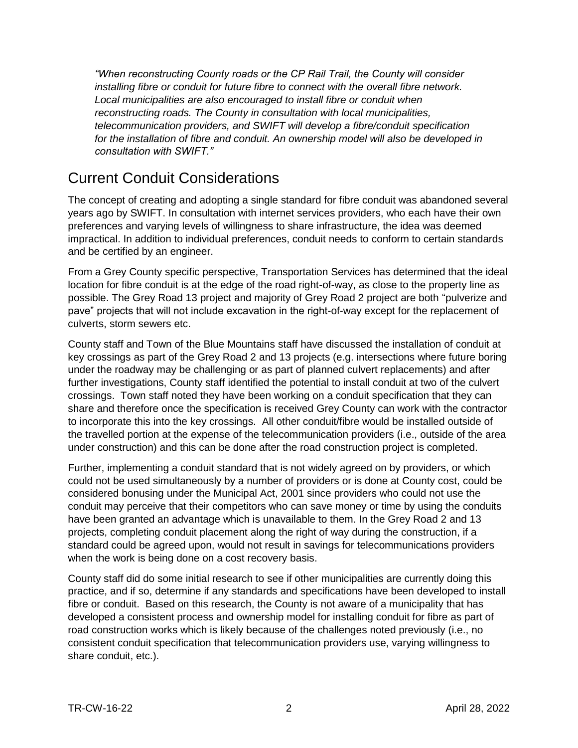*"When reconstructing County roads or the CP Rail Trail, the County will consider installing fibre or conduit for future fibre to connect with the overall fibre network. Local municipalities are also encouraged to install fibre or conduit when reconstructing roads. The County in consultation with local municipalities, telecommunication providers, and SWIFT will develop a fibre/conduit specification for the installation of fibre and conduit. An ownership model will also be developed in consultation with SWIFT."*

#### Current Conduit Considerations

The concept of creating and adopting a single standard for fibre conduit was abandoned several years ago by SWIFT. In consultation with internet services providers, who each have their own preferences and varying levels of willingness to share infrastructure, the idea was deemed impractical. In addition to individual preferences, conduit needs to conform to certain standards and be certified by an engineer.

From a Grey County specific perspective, Transportation Services has determined that the ideal location for fibre conduit is at the edge of the road right-of-way, as close to the property line as possible. The Grey Road 13 project and majority of Grey Road 2 project are both "pulverize and pave" projects that will not include excavation in the right-of-way except for the replacement of culverts, storm sewers etc.

County staff and Town of the Blue Mountains staff have discussed the installation of conduit at key crossings as part of the Grey Road 2 and 13 projects (e.g. intersections where future boring under the roadway may be challenging or as part of planned culvert replacements) and after further investigations, County staff identified the potential to install conduit at two of the culvert crossings. Town staff noted they have been working on a conduit specification that they can share and therefore once the specification is received Grey County can work with the contractor to incorporate this into the key crossings. All other conduit/fibre would be installed outside of the travelled portion at the expense of the telecommunication providers (i.e., outside of the area under construction) and this can be done after the road construction project is completed.

Further, implementing a conduit standard that is not widely agreed on by providers, or which could not be used simultaneously by a number of providers or is done at County cost, could be considered bonusing under the Municipal Act, 2001 since providers who could not use the conduit may perceive that their competitors who can save money or time by using the conduits have been granted an advantage which is unavailable to them. In the Grey Road 2 and 13 projects, completing conduit placement along the right of way during the construction, if a standard could be agreed upon, would not result in savings for telecommunications providers when the work is being done on a cost recovery basis.

County staff did do some initial research to see if other municipalities are currently doing this practice, and if so, determine if any standards and specifications have been developed to install fibre or conduit. Based on this research, the County is not aware of a municipality that has developed a consistent process and ownership model for installing conduit for fibre as part of road construction works which is likely because of the challenges noted previously (i.e., no consistent conduit specification that telecommunication providers use, varying willingness to share conduit, etc.).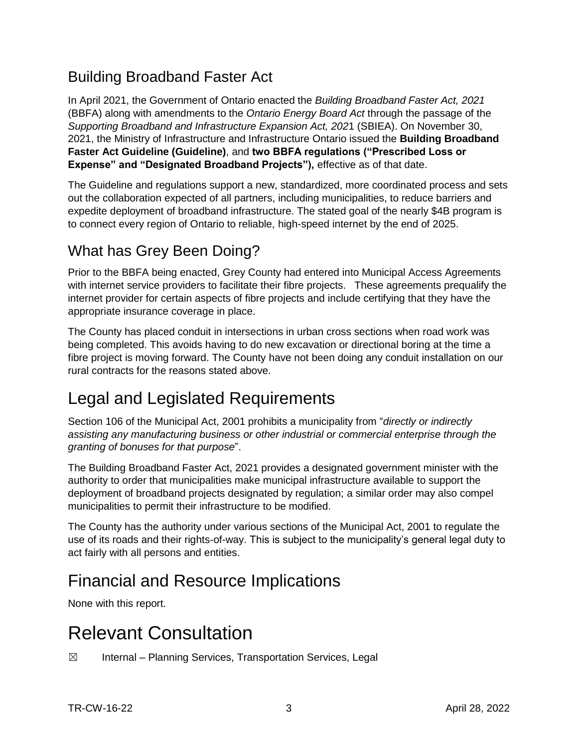#### Building Broadband Faster Act

In April 2021, the Government of Ontario enacted the *Building Broadband Faster Act, 2021* (BBFA) along with amendments to the *Ontario Energy Board Act* through the passage of the *Supporting Broadband and Infrastructure Expansion Act, 202*1 (SBIEA). On November 30, 2021, the Ministry of Infrastructure and Infrastructure Ontario issued the **Building Broadband Faster Act Guideline (Guideline)**, and **two BBFA regulations ("Prescribed Loss or Expense" and "Designated Broadband Projects"),** effective as of that date.

The Guideline and regulations support a new, standardized, more coordinated process and sets out the collaboration expected of all partners, including municipalities, to reduce barriers and expedite deployment of broadband infrastructure. The stated goal of the nearly \$4B program is to connect every region of Ontario to reliable, high-speed internet by the end of 2025.

#### What has Grey Been Doing?

Prior to the BBFA being enacted, Grey County had entered into Municipal Access Agreements with internet service providers to facilitate their fibre projects. These agreements prequalify the internet provider for certain aspects of fibre projects and include certifying that they have the appropriate insurance coverage in place.

The County has placed conduit in intersections in urban cross sections when road work was being completed. This avoids having to do new excavation or directional boring at the time a fibre project is moving forward. The County have not been doing any conduit installation on our rural contracts for the reasons stated above.

# Legal and Legislated Requirements

Section 106 of the Municipal Act, 2001 prohibits a municipality from "*directly or indirectly assisting any manufacturing business or other industrial or commercial enterprise through the granting of bonuses for that purpose*".

The Building Broadband Faster Act, 2021 provides a designated government minister with the authority to order that municipalities make municipal infrastructure available to support the deployment of broadband projects designated by regulation; a similar order may also compel municipalities to permit their infrastructure to be modified.

The County has the authority under various sections of the Municipal Act, 2001 to regulate the use of its roads and their rights-of-way. This is subject to the municipality's general legal duty to act fairly with all persons and entities.

# Financial and Resource Implications

None with this report.

# Relevant Consultation

 $\boxtimes$  Internal – Planning Services, Transportation Services, Legal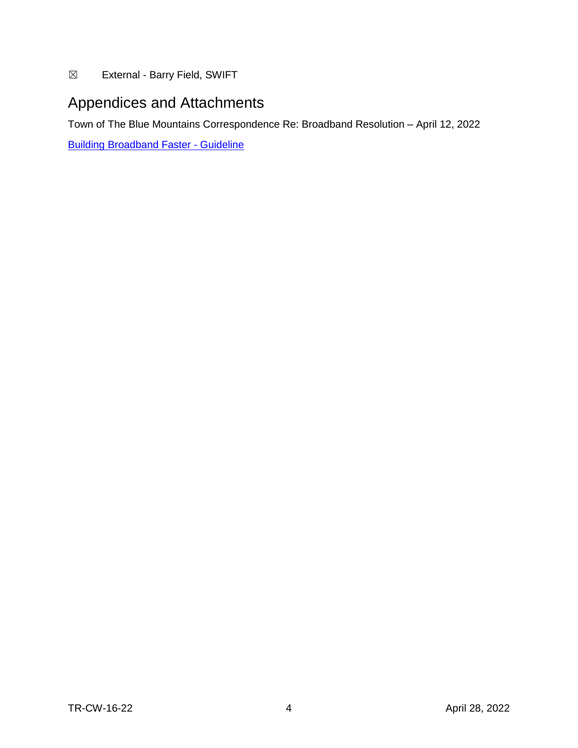☒ External - Barry Field, SWIFT

#### Appendices and Attachments

Town of The Blue Mountains Correspondence Re: Broadband Resolution – April 12, 2022

[Building Broadband Faster](https://files.ontario.ca/moi-building-broadband-faster-in-ontario-guideline-en-2022-01-31.pdf) - Guideline